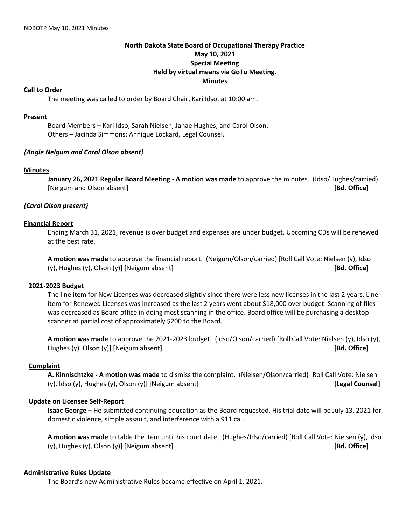# **North Dakota State Board of Occupational Therapy Practice May 10, 2021 Special Meeting Held by virtual means via GoTo Meeting. Minutes**

## **Call to Order**

The meeting was called to order by Board Chair, Kari Idso, at 10:00 am.

## **Present**

Board Members – Kari Idso, Sarah Nielsen, Janae Hughes, and Carol Olson. Others – Jacinda Simmons; Annique Lockard, Legal Counsel.

## *{Angie Neigum and Carol Olson absent}*

#### **Minutes**

**January 26, 2021 Regular Board Meeting** - **A motion was made** to approve the minutes. (Idso/Hughes/carried) [Neigum and Olson absent] **[Bd. Office]**

# *{Carol Olson present}*

## **Financial Report**

Ending March 31, 2021, revenue is over budget and expenses are under budget. Upcoming CDs will be renewed at the best rate.

**A motion was made** to approve the financial report. (Neigum/Olson/carried) [Roll Call Vote: Nielsen (y), Idso (y), Hughes (y), Olson (y)] [Neigum absent] **[Bd. Office]**

### **2021-2023 Budget**

The line item for New Licenses was decreased slightly since there were less new licenses in the last 2 years. Line item for Renewed Licenses was increased as the last 2 years went about \$18,000 over budget. Scanning of files was decreased as Board office in doing most scanning in the office. Board office will be purchasing a desktop scanner at partial cost of approximately \$200 to the Board.

**A motion was made** to approve the 2021-2023 budget. (Idso/Olson/carried) [Roll Call Vote: Nielsen (y), Idso (y), Hughes (y), Olson (y)] [Neigum absent] **[Bd. Office]**

# **Complaint**

**A. Kinnischtzke - A motion was made** to dismiss the complaint. (Nielsen/Olson/carried) [Roll Call Vote: Nielsen (y), Idso (y), Hughes (y), Olson (y)] [Neigum absent] **[Legal Counsel]**

#### **Update on Licensee Self-Report**

**Isaac George** – He submitted continuing education as the Board requested. His trial date will be July 13, 2021 for domestic violence, simple assault, and interference with a 911 call.

**A motion was made** to table the item until his court date. (Hughes/Idso/carried) [Roll Call Vote: Nielsen (y), Idso (y), Hughes (y), Olson (y)] [Neigum absent] **[Bd. Office]**

#### **Administrative Rules Update**

The Board's new Administrative Rules became effective on April 1, 2021.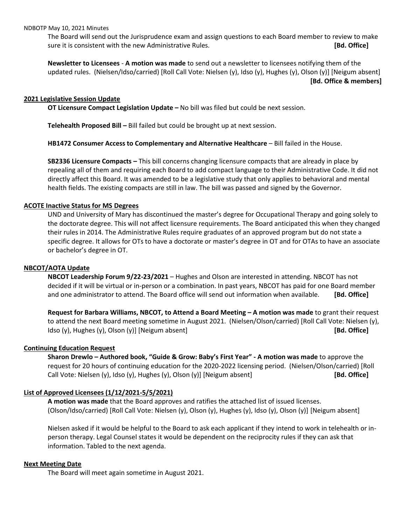#### NDBOTP May 10, 2021 Minutes

The Board will send out the Jurisprudence exam and assign questions to each Board member to review to make sure it is consistent with the new Administrative Rules. **[Bd. Office]**

**Newsletter to Licensees** - **A motion was made** to send out a newsletter to licensees notifying them of the updated rules. (Nielsen/Idso/carried) [Roll Call Vote: Nielsen (y), Idso (y), Hughes (y), Olson (y)] [Neigum absent] **[Bd. Office & members]**

### **2021 Legislative Session Update**

**OT Licensure Compact Legislation Update –** No bill was filed but could be next session.

**Telehealth Proposed Bill –** Bill failed but could be brought up at next session.

**HB1472 Consumer Access to Complementary and Alternative Healthcare** – Bill failed in the House.

**SB2336 Licensure Compacts –** This bill concerns changing licensure compacts that are already in place by repealing all of them and requiring each Board to add compact language to their Administrative Code. It did not directly affect this Board. It was amended to be a legislative study that only applies to behavioral and mental health fields. The existing compacts are still in law. The bill was passed and signed by the Governor.

## **ACOTE Inactive Status for MS Degrees**

UND and University of Mary has discontinued the master's degree for Occupational Therapy and going solely to the doctorate degree. This will not affect licensure requirements. The Board anticipated this when they changed their rules in 2014. The Administrative Rules require graduates of an approved program but do not state a specific degree. It allows for OTs to have a doctorate or master's degree in OT and for OTAs to have an associate or bachelor's degree in OT.

#### **NBCOT/AOTA Update**

**NBCOT Leadership Forum 9/22-23/2021** – Hughes and Olson are interested in attending. NBCOT has not decided if it will be virtual or in-person or a combination. In past years, NBCOT has paid for one Board member and one administrator to attend. The Board office will send out information when available. **[Bd. Office]**

**Request for Barbara Williams, NBCOT, to Attend a Board Meeting – A motion was made** to grant their request to attend the next Board meeting sometime in August 2021. (Nielsen/Olson/carried) [Roll Call Vote: Nielsen (y), Idso (y), Hughes (y), Olson (y)] [Neigum absent] **[Bd. Office]**

#### **Continuing Education Request**

**Sharon Drewlo – Authored book, "Guide & Grow: Baby's First Year" - A motion was made** to approve the request for 20 hours of continuing education for the 2020-2022 licensing period. (Nielsen/Olson/carried) [Roll Call Vote: Nielsen (y), Idso (y), Hughes (y), Olson (y)] [Neigum absent] **[Bd. Office]**

# **List of Approved Licensees (1/12/2021-5/5/2021)**

**A motion was made** that the Board approves and ratifies the attached list of issued licenses. (Olson/Idso/carried) [Roll Call Vote: Nielsen (y), Olson (y), Hughes (y), Idso (y), Olson (y)] [Neigum absent]

Nielsen asked if it would be helpful to the Board to ask each applicant if they intend to work in telehealth or inperson therapy. Legal Counsel states it would be dependent on the reciprocity rules if they can ask that information. Tabled to the next agenda.

#### **Next Meeting Date**

The Board will meet again sometime in August 2021.